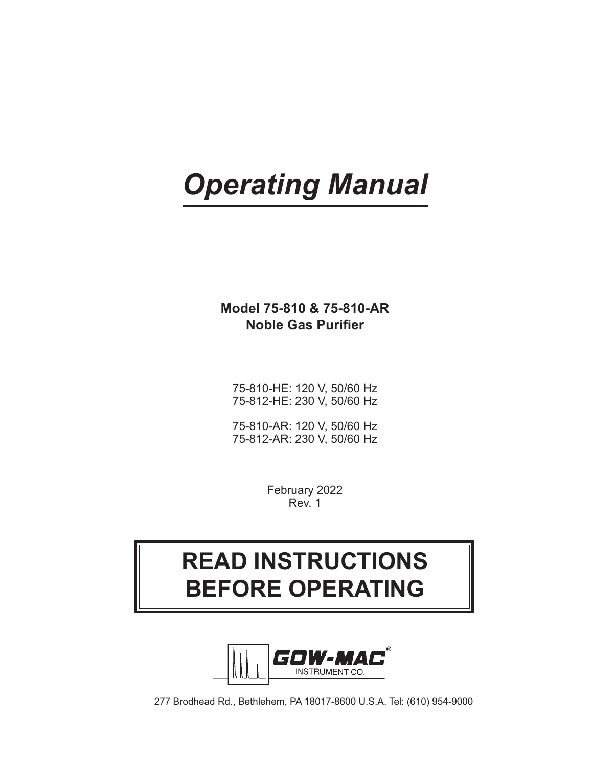# *Operating Manual*

# **Model 75-810 & 75-810-AR Noble Gas Purifier**

75-810-HE: 120 V, 50/60 Hz 75-812-HE: 230 V, 50/60 Hz

75-810-AR: 120 V, 50/60 Hz 75-812-AR: 230 V, 50/60 Hz

> February 2022 Rev. 1

# **READ INSTRUCTIONS BEFORE OPERATING**



277 Brodhead Rd., Bethlehem, PA 18017-8600 U.S.A. Tel: (610) 954-9000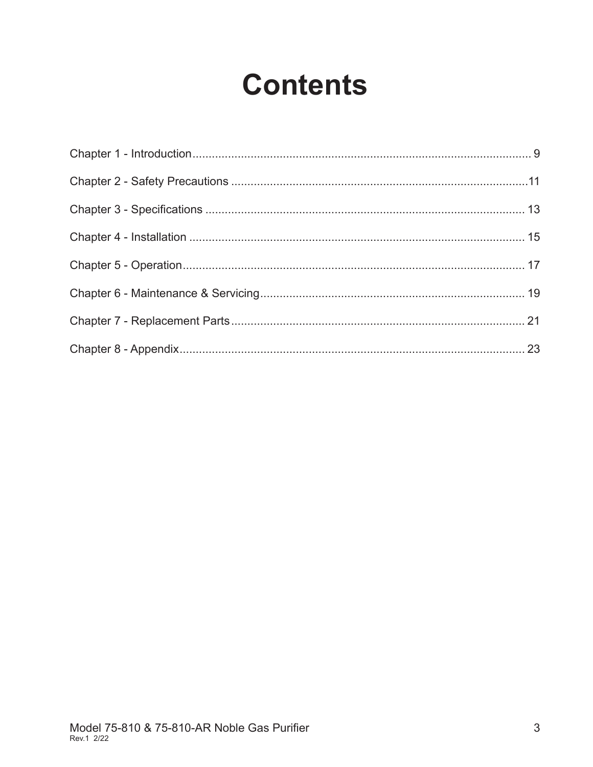# **Contents**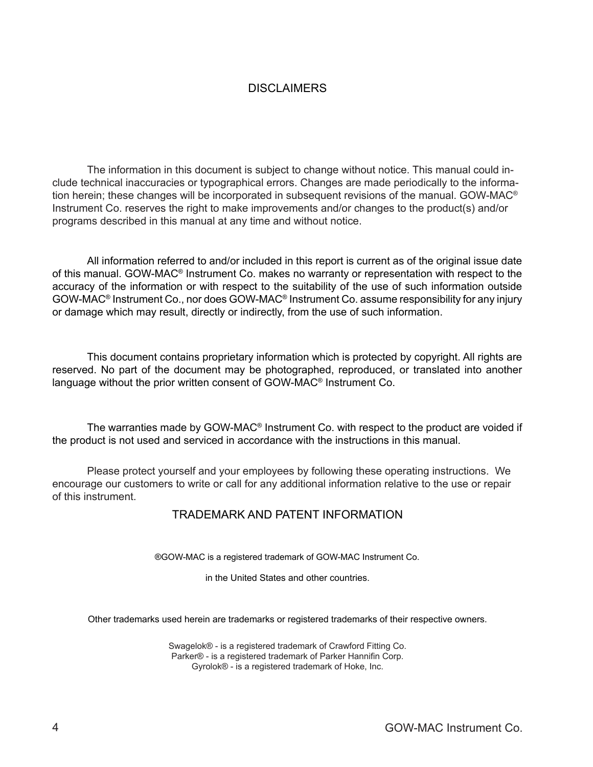#### **DISCLAIMERS**

The information in this document is subject to change without notice. This manual could include technical inaccuracies or typographical errors. Changes are made periodically to the information herein; these changes will be incorporated in subsequent revisions of the manual. GOW-MAC® Instrument Co. reserves the right to make improvements and/or changes to the product(s) and/or programs described in this manual at any time and without notice.

All information referred to and/or included in this report is current as of the original issue date of this manual. GOW-MAC® Instrument Co. makes no warranty or representation with respect to the accuracy of the information or with respect to the suitability of the use of such information outside GOW-MAC® Instrument Co., nor does GOW-MAC® Instrument Co. assume responsibility for any injury or damage which may result, directly or indirectly, from the use of such information.

This document contains proprietary information which is protected by copyright. All rights are reserved. No part of the document may be photographed, reproduced, or translated into another language without the prior written consent of GOW-MAC® Instrument Co.

The warranties made by GOW-MAC® Instrument Co. with respect to the product are voided if the product is not used and serviced in accordance with the instructions in this manual.

Please protect yourself and your employees by following these operating instructions. We encourage our customers to write or call for any additional information relative to the use or repair of this instrument.

#### TRADEMARK AND PATENT INFORMATION

®GOW-MAC is a registered trademark of GOW-MAC Instrument Co.

in the United States and other countries.

Other trademarks used herein are trademarks or registered trademarks of their respective owners.

Swagelok® - is a registered trademark of Crawford Fitting Co. Parker® - is a registered trademark of Parker Hannifin Corp. Gyrolok® - is a registered trademark of Hoke, Inc.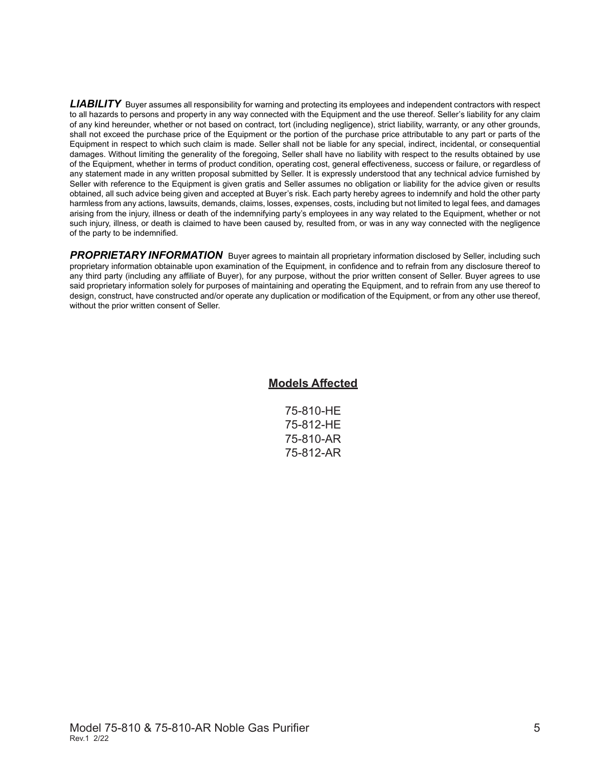*LIABILITY* Buyer assumes all responsibility for warning and protecting its employees and independent contractors with respect to all hazards to persons and property in any way connected with the Equipment and the use thereof. Seller's liability for any claim of any kind hereunder, whether or not based on contract, tort (including negligence), strict liability, warranty, or any other grounds, shall not exceed the purchase price of the Equipment or the portion of the purchase price attributable to any part or parts of the Equipment in respect to which such claim is made. Seller shall not be liable for any special, indirect, incidental, or consequential damages. Without limiting the generality of the foregoing, Seller shall have no liability with respect to the results obtained by use of the Equipment, whether in terms of product condition, operating cost, general effectiveness, success or failure, or regardless of any statement made in any written proposal submitted by Seller. It is expressly understood that any technical advice furnished by Seller with reference to the Equipment is given gratis and Seller assumes no obligation or liability for the advice given or results obtained, all such advice being given and accepted at Buyer's risk. Each party hereby agrees to indemnify and hold the other party harmless from any actions, lawsuits, demands, claims, losses, expenses, costs, including but not limited to legal fees, and damages arising from the injury, illness or death of the indemnifying party's employees in any way related to the Equipment, whether or not such injury, illness, or death is claimed to have been caused by, resulted from, or was in any way connected with the negligence of the party to be indemnified.

**PROPRIETARY INFORMATION** Buyer agrees to maintain all proprietary information disclosed by Seller, including such proprietary information obtainable upon examination of the Equipment, in confidence and to refrain from any disclosure thereof to any third party (including any affiliate of Buyer), for any purpose, without the prior written consent of Seller. Buyer agrees to use said proprietary information solely for purposes of maintaining and operating the Equipment, and to refrain from any use thereof to design, construct, have constructed and/or operate any duplication or modification of the Equipment, or from any other use thereof, without the prior written consent of Seller.

#### **Models Affected**

|  | 75-810-HE |
|--|-----------|
|  | 75-812-HE |
|  | 75-810-AR |
|  | 75-812-AR |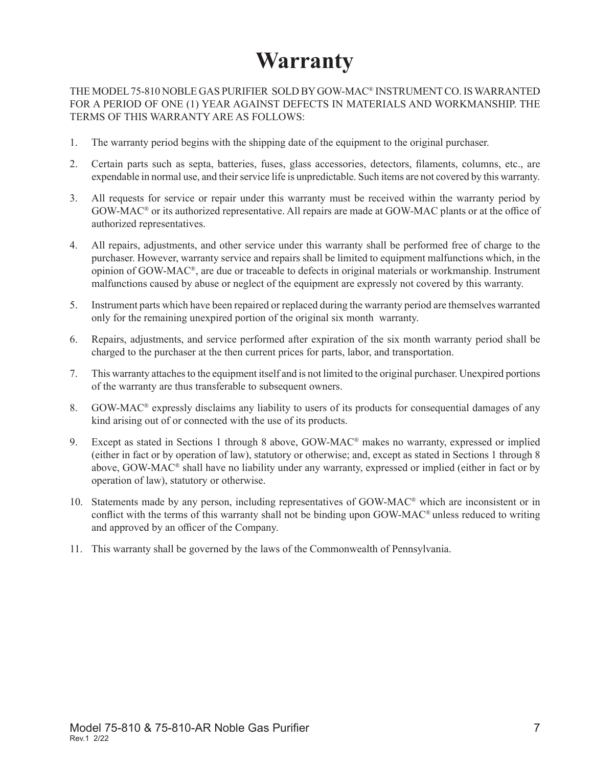# **Warranty**

THE MODEL 75-810 NOBLE GAS PURIFIER SOLD BY GOW-MAC® INSTRUMENT CO. IS WARRANTED FOR A PERIOD OF ONE (1) YEAR AGAINST DEFECTS IN MATERIALS AND WORKMANSHIP. THE TERMS OF THIS WARRANTY ARE AS FOLLOWS:

- 1. The warranty period begins with the shipping date of the equipment to the original purchaser.
- 2. Certain parts such as septa, batteries, fuses, glass accessories, detectors, filaments, columns, etc., are expendable in normal use, and their service life is unpredictable. Such items are not covered by this warranty.
- 3. All requests for service or repair under this warranty must be received within the warranty period by GOW-MAC® or its authorized representative. All repairs are made at GOW-MAC plants or at the office of authorized representatives.
- 4. All repairs, adjustments, and other service under this warranty shall be performed free of charge to the purchaser. However, warranty service and repairs shall be limited to equipment malfunctions which, in the opinion of GOW-MAC®, are due or traceable to defects in original materials or workmanship. Instrument malfunctions caused by abuse or neglect of the equipment are expressly not covered by this warranty.
- 5. Instrument parts which have been repaired or replaced during the warranty period are themselves warranted only for the remaining unexpired portion of the original six month warranty.
- 6. Repairs, adjustments, and service performed after expiration of the six month warranty period shall be charged to the purchaser at the then current prices for parts, labor, and transportation.
- 7. This warranty attaches to the equipment itself and is not limited to the original purchaser. Unexpired portions of the warranty are thus transferable to subsequent owners.
- 8. GOW-MAC® expressly disclaims any liability to users of its products for consequential damages of any kind arising out of or connected with the use of its products.
- 9. Except as stated in Sections 1 through 8 above, GOW-MAC® makes no warranty, expressed or implied (either in fact or by operation of law), statutory or otherwise; and, except as stated in Sections 1 through 8 above, GOW-MAC® shall have no liability under any warranty, expressed or implied (either in fact or by operation of law), statutory or otherwise.
- 10. Statements made by any person, including representatives of GOW-MAC® which are inconsistent or in conflict with the terms of this warranty shall not be binding upon GOW-MAC® unless reduced to writing and approved by an officer of the Company.
- 11. This warranty shall be governed by the laws of the Commonwealth of Pennsylvania.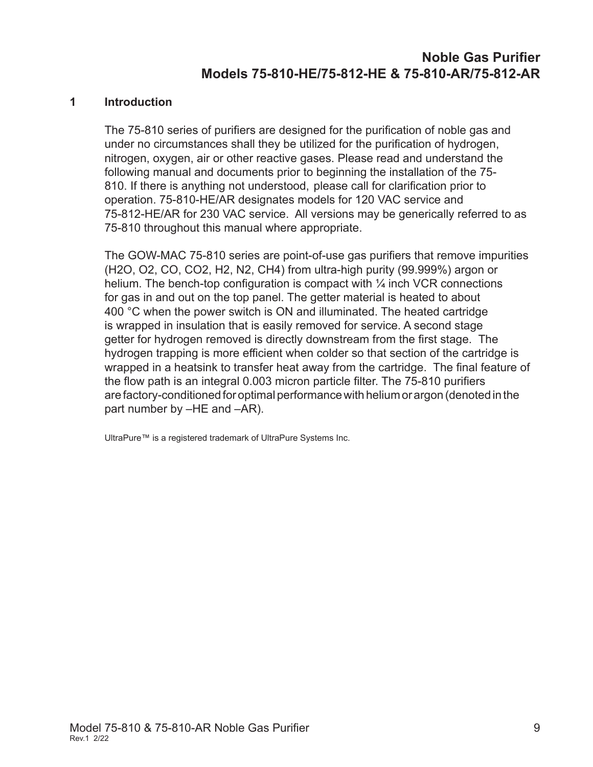#### **1 Introduction**

The 75-810 series of purifiers are designed for the purification of noble gas and under no circumstances shall they be utilized for the purification of hydrogen, nitrogen, oxygen, air or other reactive gases. Please read and understand the following manual and documents prior to beginning the installation of the 75- 810. If there is anything not understood, please call for clarification prior to operation. 75-810-HE/AR designates models for 120 VAC service and 75-812-HE/AR for 230 VAC service. All versions may be generically referred to as 75-810 throughout this manual where appropriate.

The GOW-MAC 75-810 series are point-of-use gas purifiers that remove impurities (H2O, O2, CO, CO2, H2, N2, CH4) from ultra-high purity (99.999%) argon or helium. The bench-top configuration is compact with  $\frac{1}{4}$  inch VCR connections for gas in and out on the top panel. The getter material is heated to about 400 °C when the power switch is ON and illuminated. The heated cartridge is wrapped in insulation that is easily removed for service. A second stage getter for hydrogen removed is directly downstream from the first stage. The hydrogen trapping is more efficient when colder so that section of the cartridge is wrapped in a heatsink to transfer heat away from the cartridge. The final feature of the flow path is an integral 0.003 micron particle filter. The 75-810 purifiers are factory-conditioned for optimal performance with helium or argon (denoted in the part number by –HE and –AR).

UltraPure™ is a registered trademark of UltraPure Systems Inc.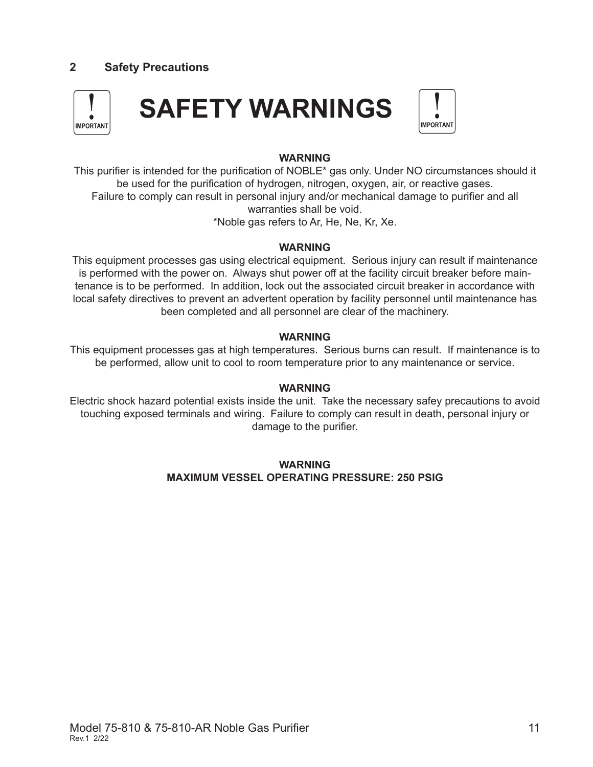# **2 Safety Precautions**



#### **WARNING**

This purifier is intended for the purification of NOBLE\* gas only. Under NO circumstances should it be used for the purification of hydrogen, nitrogen, oxygen, air, or reactive gases. Failure to comply can result in personal injury and/or mechanical damage to purifier and all warranties shall be void. \*Noble gas refers to Ar, He, Ne, Kr, Xe.

#### **WARNING**

This equipment processes gas using electrical equipment. Serious injury can result if maintenance is performed with the power on. Always shut power off at the facility circuit breaker before maintenance is to be performed. In addition, lock out the associated circuit breaker in accordance with local safety directives to prevent an advertent operation by facility personnel until maintenance has been completed and all personnel are clear of the machinery.

#### **WARNING**

This equipment processes gas at high temperatures. Serious burns can result. If maintenance is to be performed, allow unit to cool to room temperature prior to any maintenance or service.

#### **WARNING**

Electric shock hazard potential exists inside the unit. Take the necessary safey precautions to avoid touching exposed terminals and wiring. Failure to comply can result in death, personal injury or damage to the purifier.

#### **WARNING MAXIMUM VESSEL OPERATING PRESSURE: 250 PSIG**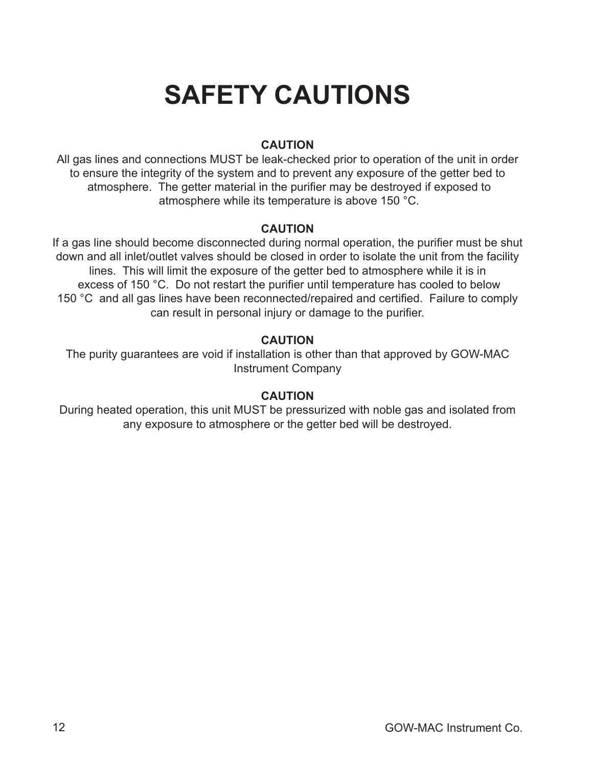# **SAFETY CAUTIONS**

# **CAUTION**

All gas lines and connections MUST be leak-checked prior to operation of the unit in order to ensure the integrity of the system and to prevent any exposure of the getter bed to atmosphere. The getter material in the purifier may be destroyed if exposed to atmosphere while its temperature is above 150 °C.

#### **CAUTION**

If a gas line should become disconnected during normal operation, the purifier must be shut down and all inlet/outlet valves should be closed in order to isolate the unit from the facility lines. This will limit the exposure of the getter bed to atmosphere while it is in excess of 150 °C. Do not restart the purifier until temperature has cooled to below 150 °C and all gas lines have been reconnected/repaired and certified. Failure to comply can result in personal injury or damage to the purifier.

## **CAUTION**

The purity guarantees are void if installation is other than that approved by GOW-MAC Instrument Company

## **CAUTION**

During heated operation, this unit MUST be pressurized with noble gas and isolated from any exposure to atmosphere or the getter bed will be destroyed.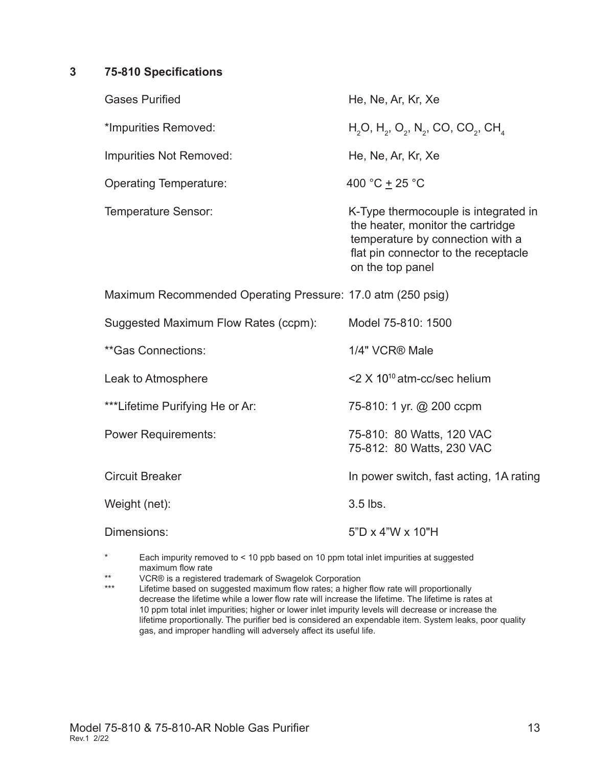#### **3 75-810 Specifications**

| <b>Gases Purified</b>                                       | He, Ne, Ar, Kr, Xe                                                                                                                                                        |
|-------------------------------------------------------------|---------------------------------------------------------------------------------------------------------------------------------------------------------------------------|
| *Impurities Removed:                                        | $H_2O$ , $H_2$ , $O_2$ , $N_2$ , CO, CO <sub>2</sub> , CH <sub>4</sub>                                                                                                    |
| Impurities Not Removed:                                     | He, Ne, Ar, Kr, Xe                                                                                                                                                        |
| <b>Operating Temperature:</b>                               | 400 °C $\pm$ 25 °C                                                                                                                                                        |
| Temperature Sensor:                                         | K-Type thermocouple is integrated in<br>the heater, monitor the cartridge<br>temperature by connection with a<br>flat pin connector to the receptacle<br>on the top panel |
| Maximum Recommended Operating Pressure: 17.0 atm (250 psig) |                                                                                                                                                                           |
| Suggested Maximum Flow Rates (ccpm):                        | Model 75-810: 1500                                                                                                                                                        |
| **Gas Connections:                                          | 1/4" VCR® Male                                                                                                                                                            |
| Leak to Atmosphere                                          | <2 X 10 <sup>10</sup> atm-cc/sec helium                                                                                                                                   |
| ***Lifetime Purifying He or Ar:                             | 75-810: 1 yr. @ 200 ccpm                                                                                                                                                  |
| <b>Power Requirements:</b>                                  | 75-810: 80 Watts, 120 VAC<br>75-812: 80 Watts, 230 VAC                                                                                                                    |
| <b>Circuit Breaker</b>                                      | In power switch, fast acting, 1A rating                                                                                                                                   |
| Weight (net):                                               | 3.5 lbs.                                                                                                                                                                  |
| Dimensions:                                                 | $5"D \times 4"W \times 10"H$                                                                                                                                              |
|                                                             |                                                                                                                                                                           |

\* Each impurity removed to < 10 ppb based on 10 ppm total inlet impurities at suggested maximum flow rate

\*\* VCR® is a registered trademark of Swagelok Corporation

Lifetime based on suggested maximum flow rates; a higher flow rate will proportionally decrease the lifetime while a lower flow rate will increase the lifetime. The lifetime is rates at 10 ppm total inlet impurities; higher or lower inlet impurity levels will decrease or increase the lifetime proportionally. The purifier bed is considered an expendable item. System leaks, poor quality gas, and improper handling will adversely affect its useful life.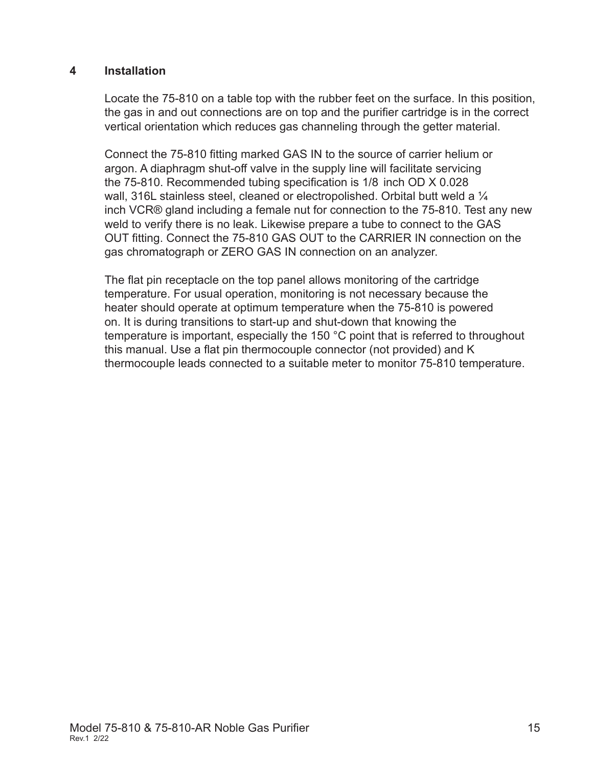#### **4 Installation**

Locate the 75-810 on a table top with the rubber feet on the surface. In this position, the gas in and out connections are on top and the purifier cartridge is in the correct vertical orientation which reduces gas channeling through the getter material.

Connect the 75-810 fitting marked GAS IN to the source of carrier helium or argon. A diaphragm shut-off valve in the supply line will facilitate servicing the 75-810. Recommended tubing specification is 1/8 inch OD X 0.028 wall, 316L stainless steel, cleaned or electropolished. Orbital butt weld a  $\frac{1}{4}$ inch VCR® gland including a female nut for connection to the 75-810. Test any new weld to verify there is no leak. Likewise prepare a tube to connect to the GAS OUT fitting. Connect the 75-810 GAS OUT to the CARRIER IN connection on the gas chromatograph or ZERO GAS IN connection on an analyzer.

The flat pin receptacle on the top panel allows monitoring of the cartridge temperature. For usual operation, monitoring is not necessary because the heater should operate at optimum temperature when the 75-810 is powered on. It is during transitions to start-up and shut-down that knowing the temperature is important, especially the 150 °C point that is referred to throughout this manual. Use a flat pin thermocouple connector (not provided) and K thermocouple leads connected to a suitable meter to monitor 75-810 temperature.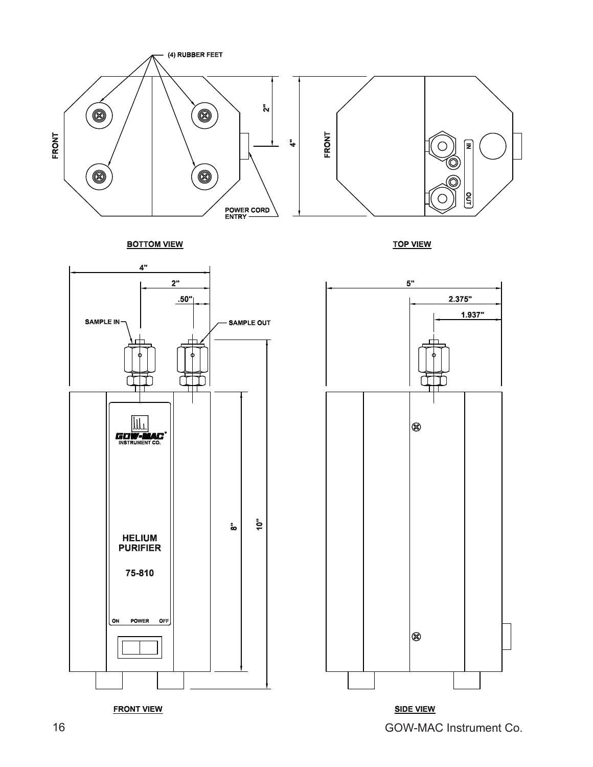









**FRONT VIEW**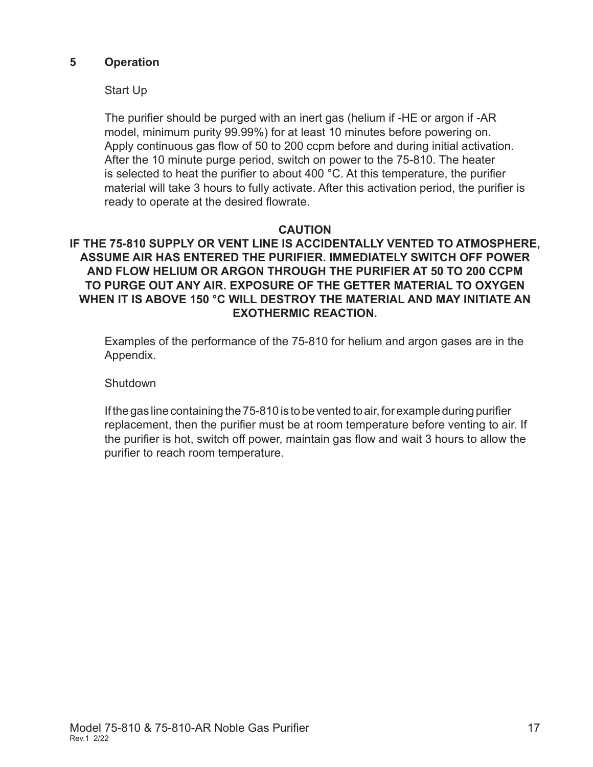#### **5 Operation**

#### Start Up

The purifier should be purged with an inert gas (helium if -HE or argon if -AR model, minimum purity 99.99%) for at least 10 minutes before powering on. Apply continuous gas flow of 50 to 200 ccpm before and during initial activation. After the 10 minute purge period, switch on power to the 75-810. The heater is selected to heat the purifier to about 400 °C. At this temperature, the purifier material will take 3 hours to fully activate. After this activation period, the purifier is ready to operate at the desired flowrate.

#### **CAUTION**

#### **IF THE 75-810 SUPPLY OR VENT LINE IS ACCIDENTALLY VENTED TO ATMOSPHERE, ASSUME AIR HAS ENTERED THE PURIFIER. IMMEDIATELY SWITCH OFF POWER AND FLOW HELIUM OR ARGON THROUGH THE PURIFIER AT 50 TO 200 CCPM TO PURGE OUT ANY AIR. EXPOSURE OF THE GETTER MATERIAL TO OXYGEN WHEN IT IS ABOVE 150 °C WILL DESTROY THE MATERIAL AND MAY INITIATE AN EXOTHERMIC REACTION.**

Examples of the performance of the 75-810 for helium and argon gases are in the Appendix.

**Shutdown** 

If the gas line containing the 75-810 is to be vented to air, for example during purifier replacement, then the purifier must be at room temperature before venting to air. If the purifier is hot, switch off power, maintain gas flow and wait 3 hours to allow the purifier to reach room temperature.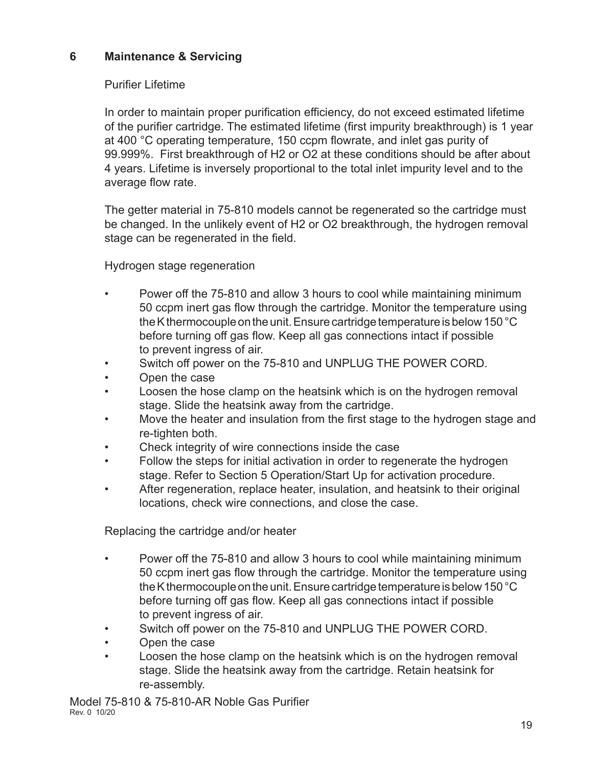# **6 Maintenance & Servicing**

## Purifier Lifetime

In order to maintain proper purification efficiency, do not exceed estimated lifetime of the purifier cartridge. The estimated lifetime (first impurity breakthrough) is 1 year at 400 °C operating temperature, 150 ccpm flowrate, and inlet gas purity of 99.999%. First breakthrough of H2 or O2 at these conditions should be after about 4 years. Lifetime is inversely proportional to the total inlet impurity level and to the average flow rate.

The getter material in 75-810 models cannot be regenerated so the cartridge must be changed. In the unlikely event of H2 or O2 breakthrough, the hydrogen removal stage can be regenerated in the field.

Hydrogen stage regeneration

- Power off the 75-810 and allow 3 hours to cool while maintaining minimum 50 ccpm inert gas flow through the cartridge. Monitor the temperature using the K thermocouple on the unit. Ensure cartridge temperature is below 150 °C before turning off gas flow. Keep all gas connections intact if possible to prevent ingress of air.
- Switch off power on the 75-810 and UNPLUG THE POWER CORD.
- Open the case
- Loosen the hose clamp on the heatsink which is on the hydrogen removal stage. Slide the heatsink away from the cartridge.
- Move the heater and insulation from the first stage to the hydrogen stage and re-tighten both.
- Check integrity of wire connections inside the case
- Follow the steps for initial activation in order to regenerate the hydrogen stage. Refer to Section 5 Operation/Start Up for activation procedure.
- After regeneration, replace heater, insulation, and heatsink to their original locations, check wire connections, and close the case.

Replacing the cartridge and/or heater

- Power off the 75-810 and allow 3 hours to cool while maintaining minimum 50 ccpm inert gas flow through the cartridge. Monitor the temperature using the K thermocouple on the unit. Ensure cartridge temperature is below 150 °C before turning off gas flow. Keep all gas connections intact if possible to prevent ingress of air.
- Switch off power on the 75-810 and UNPLUG THE POWER CORD.
- Open the case
- Loosen the hose clamp on the heatsink which is on the hydrogen removal stage. Slide the heatsink away from the cartridge. Retain heatsink for re-assembly.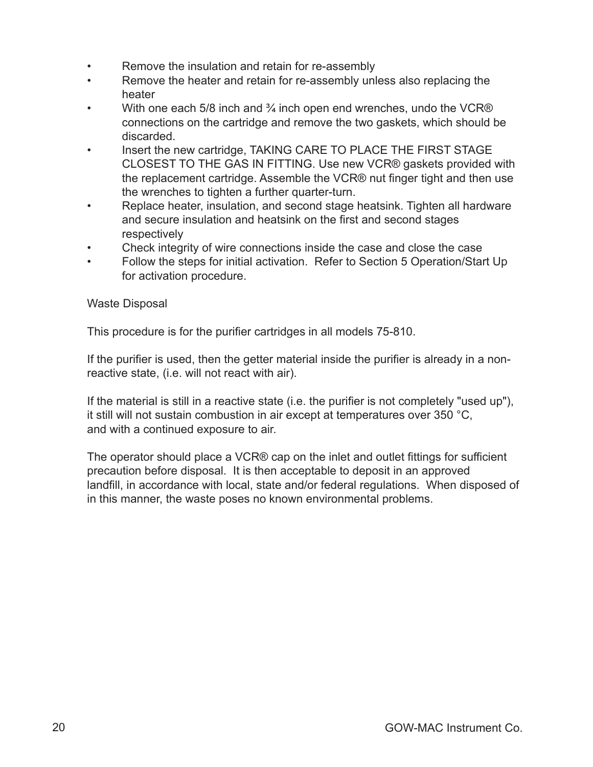- Remove the insulation and retain for re-assembly
- Remove the heater and retain for re-assembly unless also replacing the heater
- With one each 5/8 inch and  $\frac{3}{4}$  inch open end wrenches, undo the VCR® connections on the cartridge and remove the two gaskets, which should be discarded.
- Insert the new cartridge, TAKING CARE TO PLACE THE FIRST STAGE CLOSEST TO THE GAS IN FITTING. Use new VCR® gaskets provided with the replacement cartridge. Assemble the VCR® nut finger tight and then use the wrenches to tighten a further quarter-turn.
- Replace heater, insulation, and second stage heatsink. Tighten all hardware and secure insulation and heatsink on the first and second stages respectively
- Check integrity of wire connections inside the case and close the case
- Follow the steps for initial activation. Refer to Section 5 Operation/Start Up for activation procedure.

#### Waste Disposal

This procedure is for the purifier cartridges in all models 75-810.

If the purifier is used, then the getter material inside the purifier is already in a nonreactive state, (i.e. will not react with air).

If the material is still in a reactive state (i.e. the purifier is not completely "used up"), it still will not sustain combustion in air except at temperatures over 350 °C, and with a continued exposure to air.

The operator should place a VCR® cap on the inlet and outlet fittings for sufficient precaution before disposal. It is then acceptable to deposit in an approved landfill, in accordance with local, state and/or federal regulations. When disposed of in this manner, the waste poses no known environmental problems.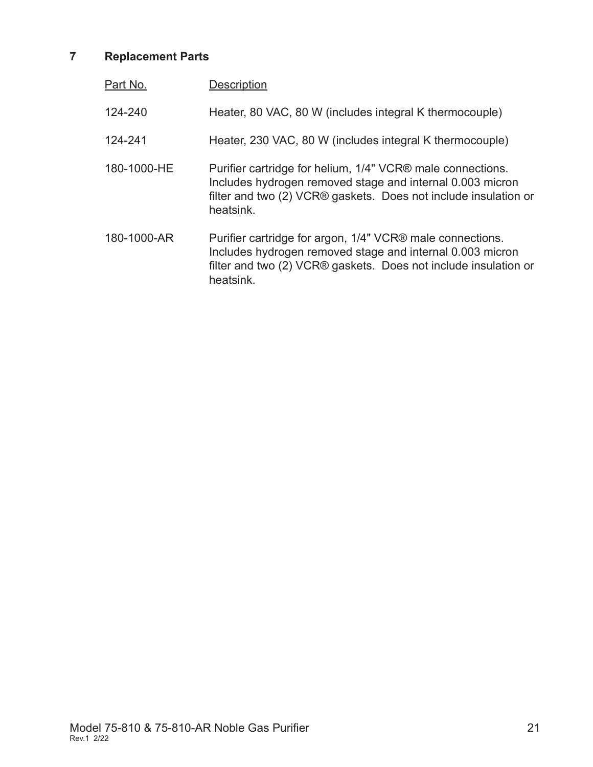# **7 Replacement Parts**

| Part No.    | <b>Description</b>                                                                                                                                                                                      |
|-------------|---------------------------------------------------------------------------------------------------------------------------------------------------------------------------------------------------------|
| 124-240     | Heater, 80 VAC, 80 W (includes integral K thermocouple)                                                                                                                                                 |
| 124-241     | Heater, 230 VAC, 80 W (includes integral K thermocouple)                                                                                                                                                |
| 180-1000-HE | Purifier cartridge for helium, 1/4" VCR® male connections.<br>Includes hydrogen removed stage and internal 0.003 micron<br>filter and two (2) VCR® gaskets. Does not include insulation or<br>heatsink. |
| 180-1000-AR | Purifier cartridge for argon, 1/4" VCR® male connections.<br>Includes hydrogen removed stage and internal 0.003 micron<br>filter and two (2) VCR® gaskets. Does not include insulation or<br>heatsink.  |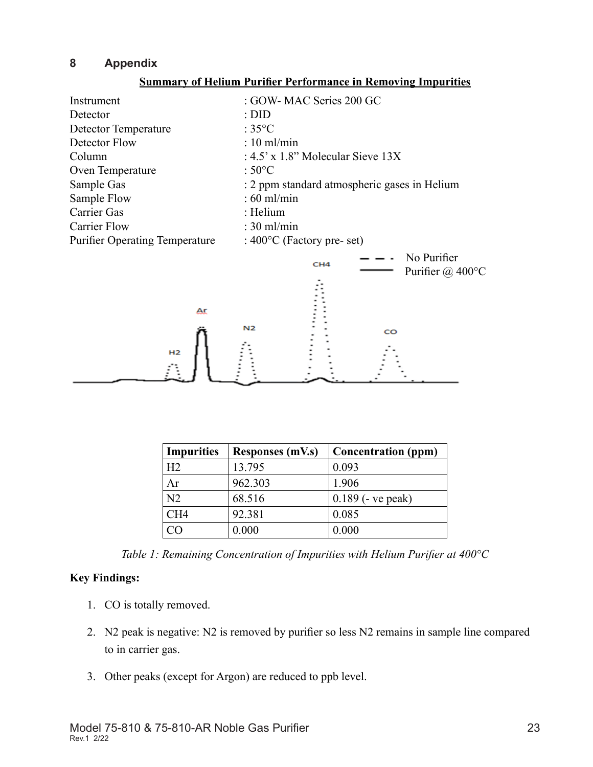## **8 Appendix**

#### **Summary of Helium Purifier Performance in Removing Impurities**



| <b>Impurities</b> | <b>Responses (mV.s)</b> | <b>Concentration</b> (ppm) |
|-------------------|-------------------------|----------------------------|
| H <sub>2</sub>    | 13.795                  | 0.093                      |
| Ar                | 962.303                 | 1.906                      |
| N <sub>2</sub>    | 68.516                  | $0.189$ (- ve peak)        |
| CH <sub>4</sub>   | 92.381                  | 0.085                      |
|                   | 0.000                   | 0.000                      |

*Table 1: Remaining Concentration of Impurities with Helium Purifier at 400°C*

#### **Key Findings:**

- 1. CO is totally removed.
- 2. N2 peak is negative: N2 is removed by purifier so less N2 remains in sample line compared to in carrier gas.
- 3. Other peaks (except for Argon) are reduced to ppb level.